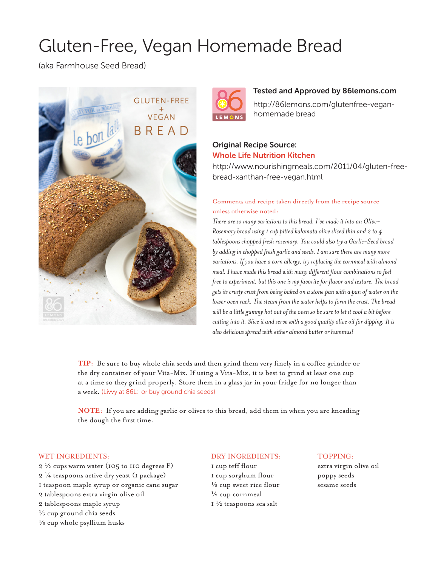# Gluten-Free, Vegan Homemade Bread

(aka Farmhouse Seed Bread)





### Tested and Approved by 86lemons.com

http://86lemons.com/glutenfree-veganhomemade bread

# Original Recipe Source: Whole Life Nutrition Kitchen

http://www.nourishingmeals.com/2011/04/gluten-freebread-xanthan-free-vegan.html

## Comments and recipe taken directly from the recipe source unless otherwise noted:

*There are so many variations to this bread. I've made it into an Olive-Rosemary bread using 1 cup pitted kalamata olive sliced thin and 2 to 4 tablespoons chopped fresh rosemary. You could also try a Garlic-Seed bread by adding in chopped fresh garlic and seeds. I am sure there are many more*  variations. If you have a corn allergy, try replacing the cornmeal with almond *meal. I have made this bread with many different flour combinations so feel free to experiment, but this one is my favorite for flavor and texture. The bread gets its crusty crust from being baked on a stone pan with a pan of water on the lower oven rack. The steam from the water helps to form the crust. The bread will be a little gummy hot out of the oven so be sure to let it cool a bit before cutting into it. Slice it and serve with a good quality olive oil for dipping. It is also delicious spread with either almond butter or hummus!*

**TIP:** Be sure to buy whole chia seeds and then grind them very finely in a coffee grinder or the dry container of your Vita-Mix. If using a Vita-Mix, it is best to grind at least one cup at a time so they grind properly. Store them in a glass jar in your fridge for no longer than a week. (Livvy at 86L: or buy ground chia seeds)

**NOTE:** If you are adding garlic or olives to this bread, add them in when you are kneading the dough the first time.

#### WET INGREDIENTS:

 $2\frac{1}{2}$  cups warm water (105 to 110 degrees F) 2 ¼ teaspoons active dry yeast (1 package) 1 teaspoon maple syrup or organic cane sugar 2 tablespoons extra virgin olive oil 2 tablespoons maple syrup  $\frac{1}{3}$  cup ground chia seeds  $\frac{1}{3}$  cup whole psyllium husks

#### DRY INGREDIENTS:

1 cup teff flour 1 cup sorghum flour  $\frac{1}{2}$  cup sweet rice flour  $\frac{1}{2}$  cup cornmeal 1 ½ teaspoons sea salt

#### TOPPING:

extra virgin olive oil poppy seeds sesame seeds